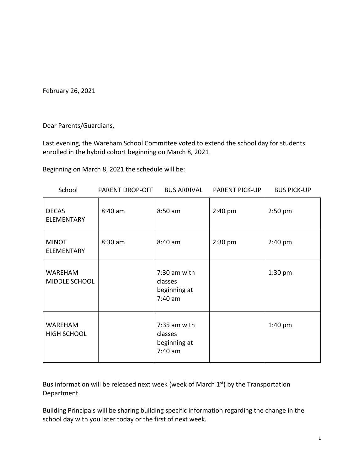February 26, 2021

Dear Parents/Guardians,

Last evening, the Wareham School Committee voted to extend the school day for students enrolled in the hybrid cohort beginning on March 8, 2021.

Beginning on March 8, 2021 the schedule will be:

| School                               | PARENT DROP-OFF | <b>BUS ARRIVAL</b>                                   | <b>PARENT PICK-UP</b> | <b>BUS PICK-UP</b> |
|--------------------------------------|-----------------|------------------------------------------------------|-----------------------|--------------------|
| <b>DECAS</b><br><b>ELEMENTARY</b>    | $8:40$ am       | 8:50 am                                              | $2:40$ pm             | $2:50$ pm          |
| <b>MINOT</b><br><b>ELEMENTARY</b>    | $8:30$ am       | 8:40 am                                              | $2:30$ pm             | 2:40 pm            |
| <b>WAREHAM</b><br>MIDDLE SCHOOL      |                 | 7:30 am with<br>classes<br>beginning at<br>$7:40$ am |                       | $1:30$ pm          |
| <b>WAREHAM</b><br><b>HIGH SCHOOL</b> |                 | 7:35 am with<br>classes<br>beginning at<br>$7:40$ am |                       | $1:40$ pm          |

Bus information will be released next week (week of March 1st) by the Transportation Department.

Building Principals will be sharing building specific information regarding the change in the school day with you later today or the first of next week.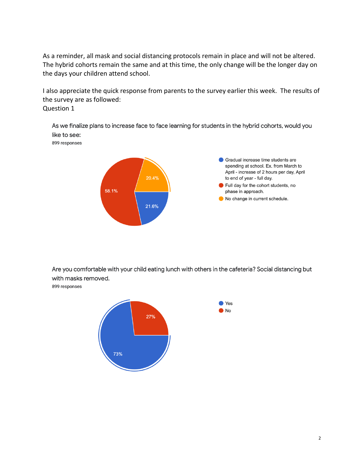As a reminder, all mask and social distancing protocols remain in place and will not be altered. The hybrid cohorts remain the same and at this time, the only change will be the longer day on the days your children attend school.

I also appreciate the quick response from parents to the survey earlier this week. The results of the survey are as followed: Question 1

As we finalize plans to increase face to face learning for students in the hybrid cohorts, would you like to see:

899 responses



Are you comfortable with your child eating lunch with others in the cafeteria? Social distancing but with masks removed.

899 responses

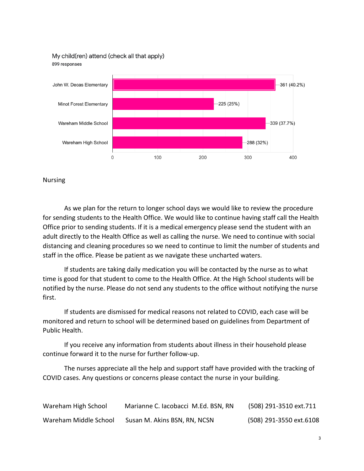My child(ren) attend (check all that apply) 899 responses



Nursing

As we plan for the return to longer school days we would like to review the procedure for sending students to the Health Office. We would like to continue having staff call the Health Office prior to sending students. If it is a medical emergency please send the student with an adult directly to the Health Office as well as calling the nurse. We need to continue with social distancing and cleaning procedures so we need to continue to limit the number of students and staff in the office. Please be patient as we navigate these uncharted waters.

If students are taking daily medication you will be contacted by the nurse as to what time is good for that student to come to the Health Office. At the High School students will be notified by the nurse. Please do not send any students to the office without notifying the nurse first.

If students are dismissed for medical reasons not related to COVID, each case will be monitored and return to school will be determined based on guidelines from Department of Public Health.

If you receive any information from students about illness in their household please continue forward it to the nurse for further follow-up.

The nurses appreciate all the help and support staff have provided with the tracking of COVID cases. Any questions or concerns please contact the nurse in your building.

| Wareham High School   | Marianne C. Iacobacci M.Ed. BSN, RN | (508) 291-3510 ext.711  |
|-----------------------|-------------------------------------|-------------------------|
| Wareham Middle School | Susan M. Akins BSN, RN, NCSN        | (508) 291-3550 ext.6108 |